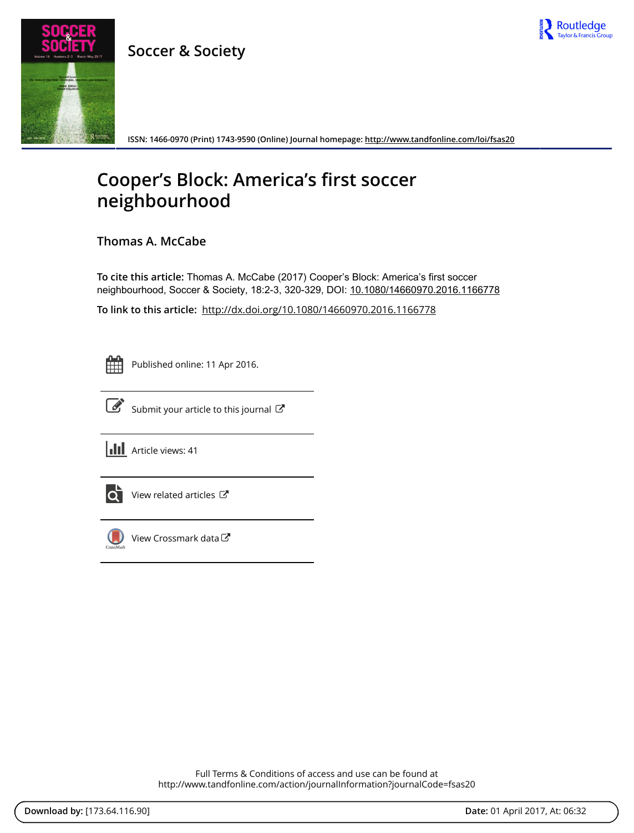

Soccer & Society



ISSN: 1466-0970 (Print) 1743-9590 (Online) Journal homepage:<http://www.tandfonline.com/loi/fsas20>

# Cooper's Block: America's first soccer neighbourhood

Thomas A. McCabe

To cite this article: Thomas A. McCabe (2017) Cooper's Block: America's first soccer neighbourhood, Soccer & Society, 18:2-3, 320-329, DOI: [10.1080/14660970.2016.1166778](http://www.tandfonline.com/action/showCitFormats?doi=10.1080/14660970.2016.1166778)

To link to this article: <http://dx.doi.org/10.1080/14660970.2016.1166778>

Published online: 11 Apr 2016.



 $\overrightarrow{S}$  [Submit your article to this journal](http://www.tandfonline.com/action/authorSubmission?journalCode=fsas20&show=instructions)  $\overrightarrow{S}$ 





[View related articles](http://www.tandfonline.com/doi/mlt/10.1080/14660970.2016.1166778) C



[View Crossmark data](http://crossmark.crossref.org/dialog/?doi=10.1080/14660970.2016.1166778&domain=pdf&date_stamp=2016-04-11)

Full Terms & Conditions of access and use can be found at <http://www.tandfonline.com/action/journalInformation?journalCode=fsas20>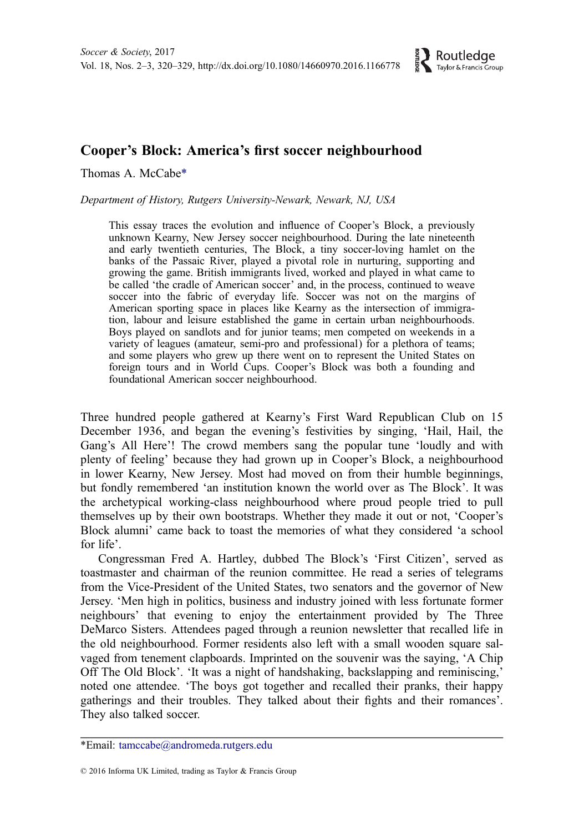## Cooper's Block: America's first soccer neighbourhood

Thomas A. McCabe\*

Department of History, Rutgers University-Newark, Newark, NJ, USA

This essay traces the evolution and influence of Cooper's Block, a previously unknown Kearny, New Jersey soccer neighbourhood. During the late nineteenth and early twentieth centuries, The Block, a tiny soccer-loving hamlet on the banks of the Passaic River, played a pivotal role in nurturing, supporting and growing the game. British immigrants lived, worked and played in what came to be called 'the cradle of American soccer' and, in the process, continued to weave soccer into the fabric of everyday life. Soccer was not on the margins of American sporting space in places like Kearny as the intersection of immigration, labour and leisure established the game in certain urban neighbourhoods. Boys played on sandlots and for junior teams; men competed on weekends in a variety of leagues (amateur, semi-pro and professional) for a plethora of teams; and some players who grew up there went on to represent the United States on foreign tours and in World Cups. Cooper's Block was both a founding and foundational American soccer neighbourhood.

Three hundred people gathered at Kearny's First Ward Republican Club on 15 December 1936, and began the evening's festivities by singing, 'Hail, Hail, the Gang's All Here'! The crowd members sang the popular tune 'loudly and with plenty of feeling' because they had grown up in Cooper's Block, a neighbourhood in lower Kearny, New Jersey. Most had moved on from their humble beginnings, but fondly remembered 'an institution known the world over as The Block'. It was the archetypical working-class neighbourhood where proud people tried to pull themselves up by their own bootstraps. Whether they made it out or not, 'Cooper's Block alumni' came back to toast the memories of what they considered 'a school for life'.

Congressman Fred A. Hartley, dubbed The Block's 'First Citizen', served as toastmaster and chairman of the reunion committee. He read a series of telegrams from the Vice-President of the United States, two senators and the governor of New Jersey. 'Men high in politics, business and industry joined with less fortunate former neighbours' that evening to enjoy the entertainment provided by The Three DeMarco Sisters. Attendees paged through a reunion newsletter that recalled life in the old neighbourhood. Former residents also left with a small wooden square salvaged from tenement clapboards. Imprinted on the souvenir was the saying, 'A Chip Off The Old Block'. 'It was a night of handshaking, backslapping and reminiscing,' noted one attendee. 'The boys got together and recalled their pranks, their happy gatherings and their troubles. They talked about their fights and their romances'. They also talked soccer.

<sup>\*</sup>Email: [tamccabe@andromeda.rutgers.edu](mailto:tamccabe@andromeda.rutgers.edu)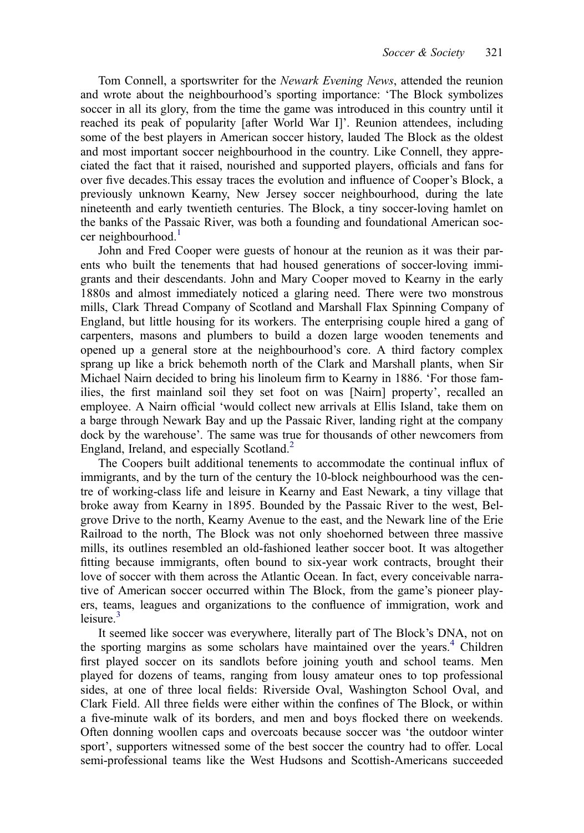Tom Connell, a sportswriter for the Newark Evening News, attended the reunion and wrote about the neighbourhood's sporting importance: 'The Block symbolizes soccer in all its glory, from the time the game was introduced in this country until it reached its peak of popularity [after World War I]'. Reunion attendees, including some of the best players in American soccer history, lauded The Block as the oldest and most important soccer neighbourhood in the country. Like Connell, they appreciated the fact that it raised, nourished and supported players, officials and fans for over five decades.This essay traces the evolution and influence of Cooper's Block, a previously unknown Kearny, New Jersey soccer neighbourhood, during the late nineteenth and early twentieth centuries. The Block, a tiny soccer-loving hamlet on the banks of the Passaic River, was both a founding and foundational American soccer neighbourhood. $<sup>1</sup>$ </sup>

John and Fred Cooper were guests of honour at the reunion as it was their parents who built the tenements that had housed generations of soccer-loving immigrants and their descendants. John and Mary Cooper moved to Kearny in the early 1880s and almost immediately noticed a glaring need. There were two monstrous mills, Clark Thread Company of Scotland and Marshall Flax Spinning Company of England, but little housing for its workers. The enterprising couple hired a gang of carpenters, masons and plumbers to build a dozen large wooden tenements and opened up a general store at the neighbourhood's core. A third factory complex sprang up like a brick behemoth north of the Clark and Marshall plants, when Sir Michael Nairn decided to bring his linoleum firm to Kearny in 1886. 'For those families, the first mainland soil they set foot on was [Nairn] property', recalled an employee. A Nairn official 'would collect new arrivals at Ellis Island, take them on a barge through Newark Bay and up the Passaic River, landing right at the company dock by the warehouse'. The same was true for thousands of other newcomers from England, Ireland, and especially Scotland.<sup>[2](#page-9-0)</sup>

The Coopers built additional tenements to accommodate the continual influx of immigrants, and by the turn of the century the 10-block neighbourhood was the centre of working-class life and leisure in Kearny and East Newark, a tiny village that broke away from Kearny in 1895. Bounded by the Passaic River to the west, Belgrove Drive to the north, Kearny Avenue to the east, and the Newark line of the Erie Railroad to the north, The Block was not only shoehorned between three massive mills, its outlines resembled an old-fashioned leather soccer boot. It was altogether fitting because immigrants, often bound to six-year work contracts, brought their love of soccer with them across the Atlantic Ocean. In fact, every conceivable narrative of American soccer occurred within The Block, from the game's pioneer players, teams, leagues and organizations to the confluence of immigration, work and leisure. $3$ 

It seemed like soccer was everywhere, literally part of The Block's DNA, not on the sporting margins as some scholars have maintained over the years.<sup>4</sup> Children first played soccer on its sandlots before joining youth and school teams. Men played for dozens of teams, ranging from lousy amateur ones to top professional sides, at one of three local fields: Riverside Oval, Washington School Oval, and Clark Field. All three fields were either within the confines of The Block, or within a five-minute walk of its borders, and men and boys flocked there on weekends. Often donning woollen caps and overcoats because soccer was 'the outdoor winter sport', supporters witnessed some of the best soccer the country had to offer. Local semi-professional teams like the West Hudsons and Scottish-Americans succeeded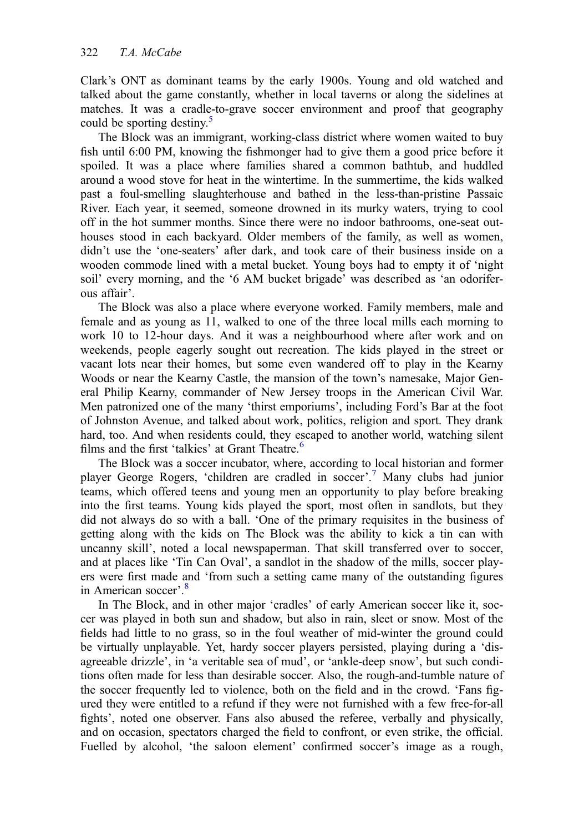Clark's ONT as dominant teams by the early 1900s. Young and old watched and talked about the game constantly, whether in local taverns or along the sidelines at matches. It was a cradle-to-grave soccer environment and proof that geography could be sporting destiny.<sup>5</sup>

The Block was an immigrant, working-class district where women waited to buy fish until 6:00 PM, knowing the fishmonger had to give them a good price before it spoiled. It was a place where families shared a common bathtub, and huddled around a wood stove for heat in the wintertime. In the summertime, the kids walked past a foul-smelling slaughterhouse and bathed in the less-than-pristine Passaic River. Each year, it seemed, someone drowned in its murky waters, trying to cool off in the hot summer months. Since there were no indoor bathrooms, one-seat outhouses stood in each backyard. Older members of the family, as well as women, didn't use the 'one-seaters' after dark, and took care of their business inside on a wooden commode lined with a metal bucket. Young boys had to empty it of 'night soil' every morning, and the '6 AM bucket brigade' was described as 'an odoriferous affair'.

The Block was also a place where everyone worked. Family members, male and female and as young as 11, walked to one of the three local mills each morning to work 10 to 12-hour days. And it was a neighbourhood where after work and on weekends, people eagerly sought out recreation. The kids played in the street or vacant lots near their homes, but some even wandered off to play in the Kearny Woods or near the Kearny Castle, the mansion of the town's namesake, Major General Philip Kearny, commander of New Jersey troops in the American Civil War. Men patronized one of the many 'thirst emporiums', including Ford's Bar at the foot of Johnston Avenue, and talked about work, politics, religion and sport. They drank hard, too. And when residents could, they escaped to another world, watching silent films and the first 'talkies' at Grant Theatre. $<sup>6</sup>$  $<sup>6</sup>$  $<sup>6</sup>$ </sup>

The Block was a soccer incubator, where, according to local historian and former player George Rogers, 'children are cradled in soccer'.<sup>[7](#page-9-0)</sup> Many clubs had junior teams, which offered teens and young men an opportunity to play before breaking into the first teams. Young kids played the sport, most often in sandlots, but they did not always do so with a ball. 'One of the primary requisites in the business of getting along with the kids on The Block was the ability to kick a tin can with uncanny skill', noted a local newspaperman. That skill transferred over to soccer, and at places like 'Tin Can Oval', a sandlot in the shadow of the mills, soccer players were first made and 'from such a setting came many of the outstanding figures in American soccer'.<sup>[8](#page-9-0)</sup>

In The Block, and in other major 'cradles' of early American soccer like it, soccer was played in both sun and shadow, but also in rain, sleet or snow. Most of the fields had little to no grass, so in the foul weather of mid-winter the ground could be virtually unplayable. Yet, hardy soccer players persisted, playing during a 'disagreeable drizzle', in 'a veritable sea of mud', or 'ankle-deep snow', but such conditions often made for less than desirable soccer. Also, the rough-and-tumble nature of the soccer frequently led to violence, both on the field and in the crowd. 'Fans figured they were entitled to a refund if they were not furnished with a few free-for-all fights', noted one observer. Fans also abused the referee, verbally and physically, and on occasion, spectators charged the field to confront, or even strike, the official. Fuelled by alcohol, 'the saloon element' confirmed soccer's image as a rough,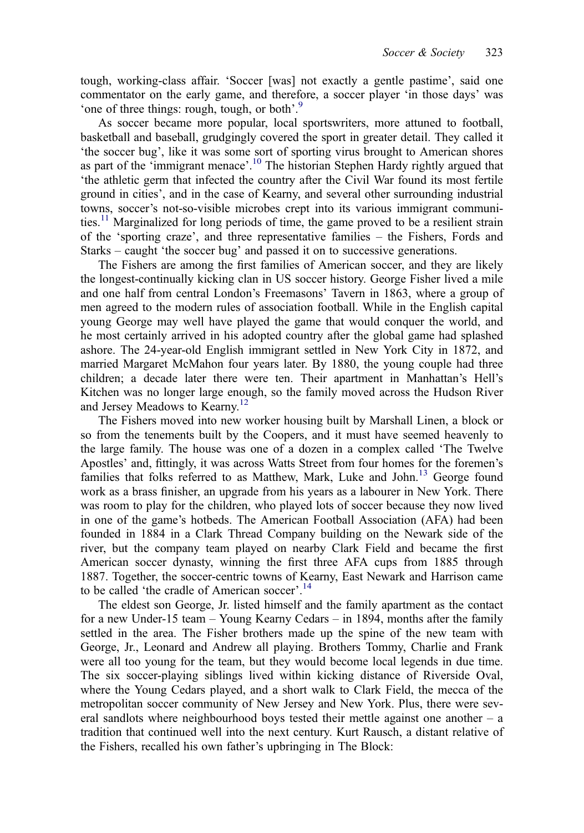tough, working-class affair. 'Soccer [was] not exactly a gentle pastime', said one commentator on the early game, and therefore, a soccer player 'in those days' was 'one of three things: rough, tough, or both'.<sup>[9](#page-9-0)</sup>

As soccer became more popular, local sportswriters, more attuned to football, basketball and baseball, grudgingly covered the sport in greater detail. They called it 'the soccer bug', like it was some sort of sporting virus brought to American shores as part of the 'immigrant menace'. [10](#page-9-0) The historian Stephen Hardy rightly argued that 'the athletic germ that infected the country after the Civil War found its most fertile ground in cities', and in the case of Kearny, and several other surrounding industrial towns, soccer's not-so-visible microbes crept into its various immigrant communi-ties.<sup>[11](#page-9-0)</sup> Marginalized for long periods of time, the game proved to be a resilient strain of the 'sporting craze', and three representative families – the Fishers, Fords and Starks – caught 'the soccer bug' and passed it on to successive generations.

The Fishers are among the first families of American soccer, and they are likely the longest-continually kicking clan in US soccer history. George Fisher lived a mile and one half from central London's Freemasons' Tavern in 1863, where a group of men agreed to the modern rules of association football. While in the English capital young George may well have played the game that would conquer the world, and he most certainly arrived in his adopted country after the global game had splashed ashore. The 24-year-old English immigrant settled in New York City in 1872, and married Margaret McMahon four years later. By 1880, the young couple had three children; a decade later there were ten. Their apartment in Manhattan's Hell's Kitchen was no longer large enough, so the family moved across the Hudson River and Jersey Meadows to Kearny.<sup>12</sup>

The Fishers moved into new worker housing built by Marshall Linen, a block or so from the tenements built by the Coopers, and it must have seemed heavenly to the large family. The house was one of a dozen in a complex called 'The Twelve Apostles' and, fittingly, it was across Watts Street from four homes for the foremen's families that folks referred to as Matthew, Mark, Luke and John.<sup>[13](#page-9-0)</sup> George found work as a brass finisher, an upgrade from his years as a labourer in New York. There was room to play for the children, who played lots of soccer because they now lived in one of the game's hotbeds. The American Football Association (AFA) had been founded in 1884 in a Clark Thread Company building on the Newark side of the river, but the company team played on nearby Clark Field and became the first American soccer dynasty, winning the first three AFA cups from 1885 through 1887. Together, the soccer-centric towns of Kearny, East Newark and Harrison came to be called 'the cradle of American soccer'.<sup>[14](#page-9-0)</sup>

The eldest son George, Jr. listed himself and the family apartment as the contact for a new Under-15 team – Young Kearny Cedars – in 1894, months after the family settled in the area. The Fisher brothers made up the spine of the new team with George, Jr., Leonard and Andrew all playing. Brothers Tommy, Charlie and Frank were all too young for the team, but they would become local legends in due time. The six soccer-playing siblings lived within kicking distance of Riverside Oval, where the Young Cedars played, and a short walk to Clark Field, the mecca of the metropolitan soccer community of New Jersey and New York. Plus, there were several sandlots where neighbourhood boys tested their mettle against one another – a tradition that continued well into the next century. Kurt Rausch, a distant relative of the Fishers, recalled his own father's upbringing in The Block: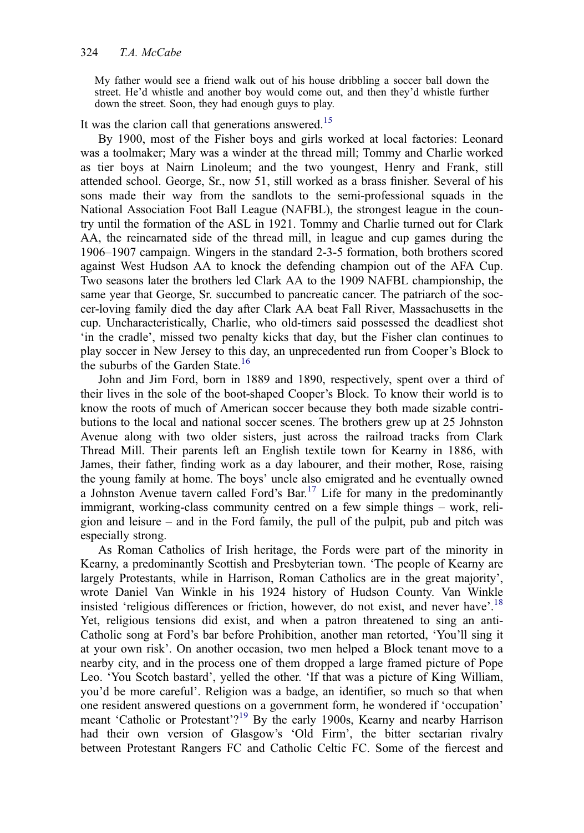My father would see a friend walk out of his house dribbling a soccer ball down the street. He'd whistle and another boy would come out, and then they'd whistle further down the street. Soon, they had enough guys to play.

It was the clarion call that generations answered.<sup>[15](#page-9-0)</sup>

By 1900, most of the Fisher boys and girls worked at local factories: Leonard was a toolmaker; Mary was a winder at the thread mill; Tommy and Charlie worked as tier boys at Nairn Linoleum; and the two youngest, Henry and Frank, still attended school. George, Sr., now 51, still worked as a brass finisher. Several of his sons made their way from the sandlots to the semi-professional squads in the National Association Foot Ball League (NAFBL), the strongest league in the country until the formation of the ASL in 1921. Tommy and Charlie turned out for Clark AA, the reincarnated side of the thread mill, in league and cup games during the 1906–1907 campaign. Wingers in the standard 2-3-5 formation, both brothers scored against West Hudson AA to knock the defending champion out of the AFA Cup. Two seasons later the brothers led Clark AA to the 1909 NAFBL championship, the same year that George, Sr. succumbed to pancreatic cancer. The patriarch of the soccer-loving family died the day after Clark AA beat Fall River, Massachusetts in the cup. Uncharacteristically, Charlie, who old-timers said possessed the deadliest shot 'in the cradle', missed two penalty kicks that day, but the Fisher clan continues to play soccer in New Jersey to this day, an unprecedented run from Cooper's Block to the suburbs of the Garden State.<sup>[16](#page-9-0)</sup>

John and Jim Ford, born in 1889 and 1890, respectively, spent over a third of their lives in the sole of the boot-shaped Cooper's Block. To know their world is to know the roots of much of American soccer because they both made sizable contributions to the local and national soccer scenes. The brothers grew up at 25 Johnston Avenue along with two older sisters, just across the railroad tracks from Clark Thread Mill. Their parents left an English textile town for Kearny in 1886, with James, their father, finding work as a day labourer, and their mother, Rose, raising the young family at home. The boys' uncle also emigrated and he eventually owned a Johnston Avenue tavern called Ford's Bar.[17](#page-9-0) Life for many in the predominantly immigrant, working-class community centred on a few simple things – work, religion and leisure – and in the Ford family, the pull of the pulpit, pub and pitch was especially strong.

As Roman Catholics of Irish heritage, the Fords were part of the minority in Kearny, a predominantly Scottish and Presbyterian town. 'The people of Kearny are largely Protestants, while in Harrison, Roman Catholics are in the great majority', wrote Daniel Van Winkle in his 1924 history of Hudson County. Van Winkle insisted 'religious differences or friction, however, do not exist, and never have'.<sup>[18](#page-9-0)</sup> Yet, religious tensions did exist, and when a patron threatened to sing an anti-Catholic song at Ford's bar before Prohibition, another man retorted, 'You'll sing it at your own risk'. On another occasion, two men helped a Block tenant move to a nearby city, and in the process one of them dropped a large framed picture of Pope Leo. 'You Scotch bastard', yelled the other. 'If that was a picture of King William, you'd be more careful'. Religion was a badge, an identifier, so much so that when one resident answered questions on a government form, he wondered if 'occupation' meant 'Catholic or Protestant'?<sup>[19](#page-9-0)</sup> By the early 1900s, Kearny and nearby Harrison had their own version of Glasgow's 'Old Firm', the bitter sectarian rivalry between Protestant Rangers FC and Catholic Celtic FC. Some of the fiercest and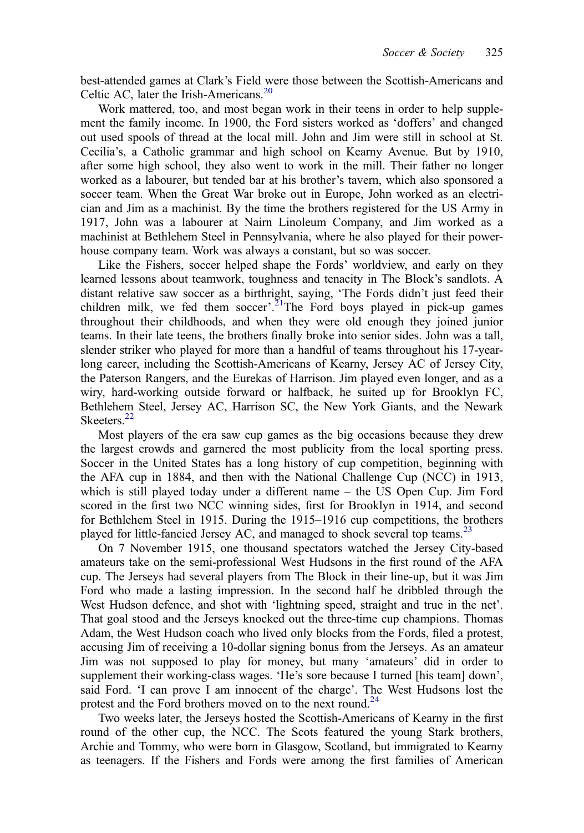best-attended games at Clark's Field were those between the Scottish-Americans and Celtic AC, later the Irish-Americans.<sup>[20](#page-9-0)</sup>

Work mattered, too, and most began work in their teens in order to help supplement the family income. In 1900, the Ford sisters worked as 'doffers' and changed out used spools of thread at the local mill. John and Jim were still in school at St. Cecilia's, a Catholic grammar and high school on Kearny Avenue. But by 1910, after some high school, they also went to work in the mill. Their father no longer worked as a labourer, but tended bar at his brother's tavern, which also sponsored a soccer team. When the Great War broke out in Europe, John worked as an electrician and Jim as a machinist. By the time the brothers registered for the US Army in 1917, John was a labourer at Nairn Linoleum Company, and Jim worked as a machinist at Bethlehem Steel in Pennsylvania, where he also played for their powerhouse company team. Work was always a constant, but so was soccer.

Like the Fishers, soccer helped shape the Fords' worldview, and early on they learned lessons about teamwork, toughness and tenacity in The Block's sandlots. A distant relative saw soccer as a birthright, saying, 'The Fords didn't just feed their children milk, we fed them soccer<sup>21</sup>The Ford boys played in pick-up games throughout their childhoods, and when they were old enough they joined junior teams. In their late teens, the brothers finally broke into senior sides. John was a tall, slender striker who played for more than a handful of teams throughout his 17-yearlong career, including the Scottish-Americans of Kearny, Jersey AC of Jersey City, the Paterson Rangers, and the Eurekas of Harrison. Jim played even longer, and as a wiry, hard-working outside forward or halfback, he suited up for Brooklyn FC, Bethlehem Steel, Jersey AC, Harrison SC, the New York Giants, and the Newark Skeeters<sup>[22](#page-9-0)</sup>

Most players of the era saw cup games as the big occasions because they drew the largest crowds and garnered the most publicity from the local sporting press. Soccer in the United States has a long history of cup competition, beginning with the AFA cup in 1884, and then with the National Challenge Cup (NCC) in 1913, which is still played today under a different name – the US Open Cup. Jim Ford scored in the first two NCC winning sides, first for Brooklyn in 1914, and second for Bethlehem Steel in 1915. During the 1915–1916 cup competitions, the brothers played for little-fancied Jersey AC, and managed to shock several top teams.<sup>[23](#page-9-0)</sup>

On 7 November 1915, one thousand spectators watched the Jersey City-based amateurs take on the semi-professional West Hudsons in the first round of the AFA cup. The Jerseys had several players from The Block in their line-up, but it was Jim Ford who made a lasting impression. In the second half he dribbled through the West Hudson defence, and shot with 'lightning speed, straight and true in the net'. That goal stood and the Jerseys knocked out the three-time cup champions. Thomas Adam, the West Hudson coach who lived only blocks from the Fords, filed a protest, accusing Jim of receiving a 10-dollar signing bonus from the Jerseys. As an amateur Jim was not supposed to play for money, but many 'amateurs' did in order to supplement their working-class wages. 'He's sore because I turned [his team] down', said Ford. 'I can prove I am innocent of the charge'. The West Hudsons lost the protest and the Ford brothers moved on to the next round.<sup>[24](#page-9-0)</sup>

Two weeks later, the Jerseys hosted the Scottish-Americans of Kearny in the first round of the other cup, the NCC. The Scots featured the young Stark brothers, Archie and Tommy, who were born in Glasgow, Scotland, but immigrated to Kearny as teenagers. If the Fishers and Fords were among the first families of American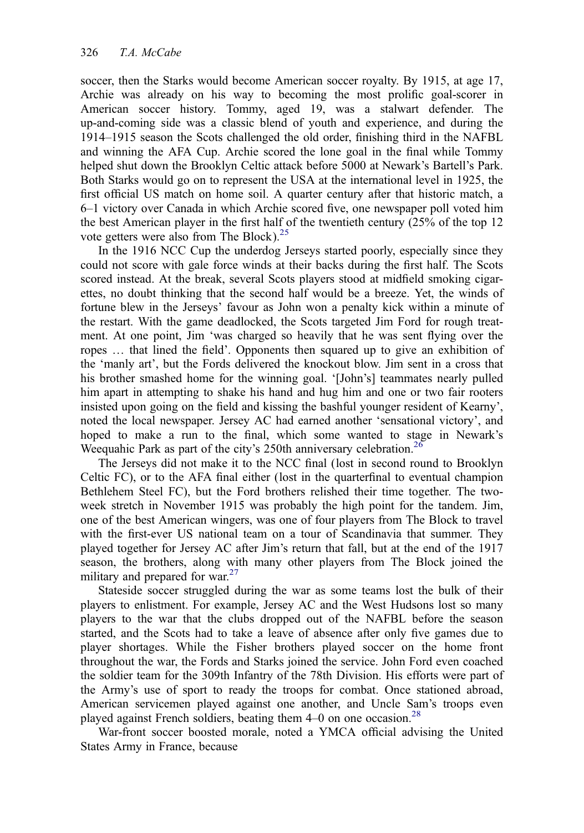soccer, then the Starks would become American soccer royalty. By 1915, at age 17, Archie was already on his way to becoming the most prolific goal-scorer in American soccer history. Tommy, aged 19, was a stalwart defender. The up-and-coming side was a classic blend of youth and experience, and during the 1914–1915 season the Scots challenged the old order, finishing third in the NAFBL and winning the AFA Cup. Archie scored the lone goal in the final while Tommy helped shut down the Brooklyn Celtic attack before 5000 at Newark's Bartell's Park. Both Starks would go on to represent the USA at the international level in 1925, the first official US match on home soil. A quarter century after that historic match, a 6–1 victory over Canada in which Archie scored five, one newspaper poll voted him the best American player in the first half of the twentieth century (25% of the top 12 vote getters were also from The Block).<sup>25</sup>

In the 1916 NCC Cup the underdog Jerseys started poorly, especially since they could not score with gale force winds at their backs during the first half. The Scots scored instead. At the break, several Scots players stood at midfield smoking cigarettes, no doubt thinking that the second half would be a breeze. Yet, the winds of fortune blew in the Jerseys' favour as John won a penalty kick within a minute of the restart. With the game deadlocked, the Scots targeted Jim Ford for rough treatment. At one point, Jim 'was charged so heavily that he was sent flying over the ropes … that lined the field'. Opponents then squared up to give an exhibition of the 'manly art', but the Fords delivered the knockout blow. Jim sent in a cross that his brother smashed home for the winning goal. '[John's] teammates nearly pulled him apart in attempting to shake his hand and hug him and one or two fair rooters insisted upon going on the field and kissing the bashful younger resident of Kearny', noted the local newspaper. Jersey AC had earned another 'sensational victory', and hoped to make a run to the final, which some wanted to stage in Newark's Weequahic Park as part of the city's 250th anniversary celebration.<sup>[26](#page-10-0)</sup>

The Jerseys did not make it to the NCC final (lost in second round to Brooklyn Celtic FC), or to the AFA final either (lost in the quarterfinal to eventual champion Bethlehem Steel FC), but the Ford brothers relished their time together. The twoweek stretch in November 1915 was probably the high point for the tandem. Jim, one of the best American wingers, was one of four players from The Block to travel with the first-ever US national team on a tour of Scandinavia that summer. They played together for Jersey AC after Jim's return that fall, but at the end of the 1917 season, the brothers, along with many other players from The Block joined the military and prepared for war. $27$ 

Stateside soccer struggled during the war as some teams lost the bulk of their players to enlistment. For example, Jersey AC and the West Hudsons lost so many players to the war that the clubs dropped out of the NAFBL before the season started, and the Scots had to take a leave of absence after only five games due to player shortages. While the Fisher brothers played soccer on the home front throughout the war, the Fords and Starks joined the service. John Ford even coached the soldier team for the 309th Infantry of the 78th Division. His efforts were part of the Army's use of sport to ready the troops for combat. Once stationed abroad, American servicemen played against one another, and Uncle Sam's troops even played against French soldiers, beating them  $4-0$  on one occasion.<sup>[28](#page-10-0)</sup>

War-front soccer boosted morale, noted a YMCA official advising the United States Army in France, because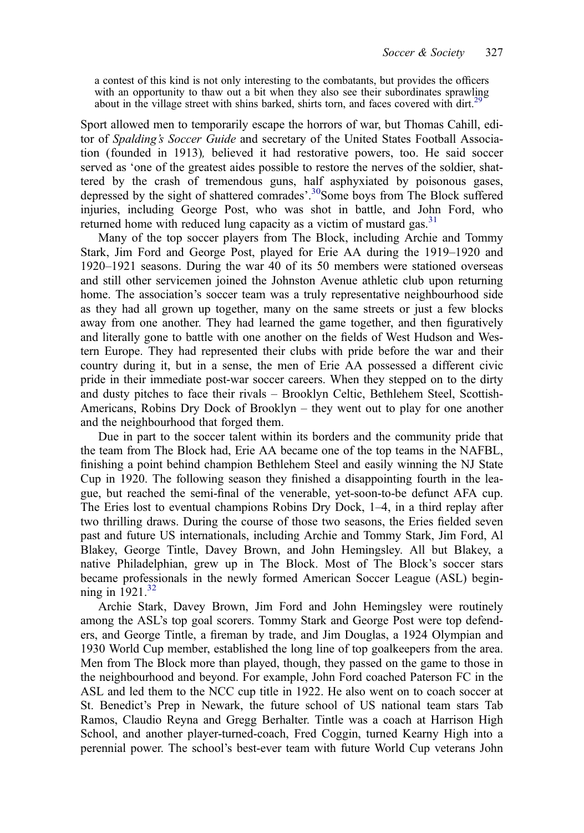a contest of this kind is not only interesting to the combatants, but provides the officers with an opportunity to thaw out a bit when they also see their subordinates sprawling about in the village street with shins barked, shirts torn, and faces covered with dirt.<sup>2</sup>

Sport allowed men to temporarily escape the horrors of war, but Thomas Cahill, editor of Spalding's Soccer Guide and secretary of the United States Football Association (founded in 1913), believed it had restorative powers, too. He said soccer served as 'one of the greatest aides possible to restore the nerves of the soldier, shattered by the crash of tremendous guns, half asphyxiated by poisonous gases, depressed by the sight of shattered comrades'. [30S](#page-10-0)ome boys from The Block suffered injuries, including George Post, who was shot in battle, and John Ford, who returned home with reduced lung capacity as a victim of mustard gas.<sup>[31](#page-10-0)</sup>

Many of the top soccer players from The Block, including Archie and Tommy Stark, Jim Ford and George Post, played for Erie AA during the 1919–1920 and 1920–1921 seasons. During the war 40 of its 50 members were stationed overseas and still other servicemen joined the Johnston Avenue athletic club upon returning home. The association's soccer team was a truly representative neighbourhood side as they had all grown up together, many on the same streets or just a few blocks away from one another. They had learned the game together, and then figuratively and literally gone to battle with one another on the fields of West Hudson and Western Europe. They had represented their clubs with pride before the war and their country during it, but in a sense, the men of Erie AA possessed a different civic pride in their immediate post-war soccer careers. When they stepped on to the dirty and dusty pitches to face their rivals – Brooklyn Celtic, Bethlehem Steel, Scottish-Americans, Robins Dry Dock of Brooklyn – they went out to play for one another and the neighbourhood that forged them.

Due in part to the soccer talent within its borders and the community pride that the team from The Block had, Erie AA became one of the top teams in the NAFBL, finishing a point behind champion Bethlehem Steel and easily winning the NJ State Cup in 1920. The following season they finished a disappointing fourth in the league, but reached the semi-final of the venerable, yet-soon-to-be defunct AFA cup. The Eries lost to eventual champions Robins Dry Dock, 1–4, in a third replay after two thrilling draws. During the course of those two seasons, the Eries fielded seven past and future US internationals, including Archie and Tommy Stark, Jim Ford, Al Blakey, George Tintle, Davey Brown, and John Hemingsley. All but Blakey, a native Philadelphian, grew up in The Block. Most of The Block's soccer stars became professionals in the newly formed American Soccer League (ASL) beginning in  $1921.^{32}$ 

Archie Stark, Davey Brown, Jim Ford and John Hemingsley were routinely among the ASL's top goal scorers. Tommy Stark and George Post were top defenders, and George Tintle, a fireman by trade, and Jim Douglas, a 1924 Olympian and 1930 World Cup member, established the long line of top goalkeepers from the area. Men from The Block more than played, though, they passed on the game to those in the neighbourhood and beyond. For example, John Ford coached Paterson FC in the ASL and led them to the NCC cup title in 1922. He also went on to coach soccer at St. Benedict's Prep in Newark, the future school of US national team stars Tab Ramos, Claudio Reyna and Gregg Berhalter. Tintle was a coach at Harrison High School, and another player-turned-coach, Fred Coggin, turned Kearny High into a perennial power. The school's best-ever team with future World Cup veterans John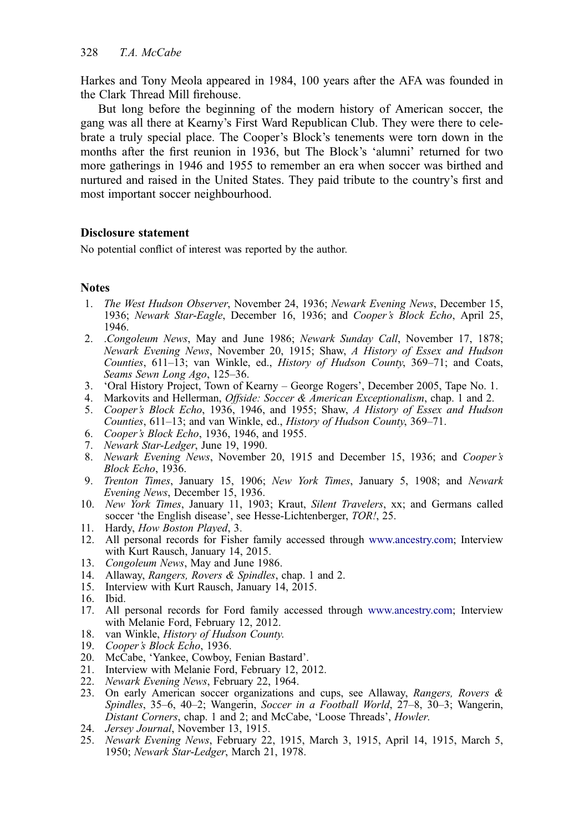<span id="page-9-0"></span>Harkes and Tony Meola appeared in 1984, 100 years after the AFA was founded in the Clark Thread Mill firehouse.

But long before the beginning of the modern history of American soccer, the gang was all there at Kearny's First Ward Republican Club. They were there to celebrate a truly special place. The Cooper's Block's tenements were torn down in the months after the first reunion in 1936, but The Block's 'alumni' returned for two more gatherings in 1946 and 1955 to remember an era when soccer was birthed and nurtured and raised in the United States. They paid tribute to the country's first and most important soccer neighbourhood.

### Disclosure statement

No potential conflict of interest was reported by the author.

#### **Notes**

- 1. The West Hudson Observer, November 24, 1936; Newark Evening News, December 15, 1936; Newark Star-Eagle, December 16, 1936; and Cooper's Block Echo, April 25, 1946.
- 2. .Congoleum News, May and June 1986; Newark Sunday Call, November 17, 1878; Newark Evening News, November 20, 1915; Shaw, A History of Essex and Hudson Counties, 611-13; van Winkle, ed., History of Hudson County, 369-71; and Coats, Seams Sewn Long Ago, 125–36.
- 3. 'Oral History Project, Town of Kearny George Rogers', December 2005, Tape No. 1.
- 4. Markovits and Hellerman, *Offside: Soccer & American Exceptionalism*, chap. 1 and 2.
- 5. Cooper's Block Echo, 1936, 1946, and 1955; Shaw, A History of Essex and Hudson Counties, 611–13; and van Winkle, ed., History of Hudson County, 369–71.
- 6. Cooper's Block Echo, 1936, 1946, and 1955.
- 7. Newark Star-Ledger, June 19, 1990.
- 8. Newark Evening News, November 20, 1915 and December 15, 1936; and Cooper's Block Echo, 1936.
- 9. Trenton Times, January 15, 1906; New York Times, January 5, 1908; and Newark Evening News, December 15, 1936.
- 10. New York Times, January 11, 1903; Kraut, Silent Travelers, xx; and Germans called soccer 'the English disease', see Hesse-Lichtenberger, TOR!, 25.
- 11. Hardy, How Boston Played, 3.
- 12. All personal records for Fisher family accessed through [www.ancestry.com;](http://www.ancestry.com) Interview with Kurt Rausch, January 14, 2015.
- 13. Congoleum News, May and June 1986.
- 14. Allaway, Rangers, Rovers & Spindles, chap. 1 and 2.
- 15. Interview with Kurt Rausch, January 14, 2015.
- 16. Ibid.
- 17. All personal records for Ford family accessed through [www.ancestry.com](http://www.ancestry.com); Interview with Melanie Ford, February 12, 2012.
- 18. van Winkle, History of Hudson County.
- 19. Cooper's Block Echo, 1936.
- 20. McCabe, 'Yankee, Cowboy, Fenian Bastard'.
- 21. Interview with Melanie Ford, February 12, 2012.
- 22. Newark Evening News, February 22, 1964.
- 23. On early American soccer organizations and cups, see Allaway, Rangers, Rovers & Spindles, 35–6, 40–2; Wangerin, Soccer in a Football World, 27–8, 30–3; Wangerin, Distant Corners, chap. 1 and 2; and McCabe, 'Loose Threads', Howler.
- 24. Jersey Journal, November 13, 1915.
- 25. Newark Evening News, February 22, 1915, March 3, 1915, April 14, 1915, March 5, 1950; Newark Star-Ledger, March 21, 1978.